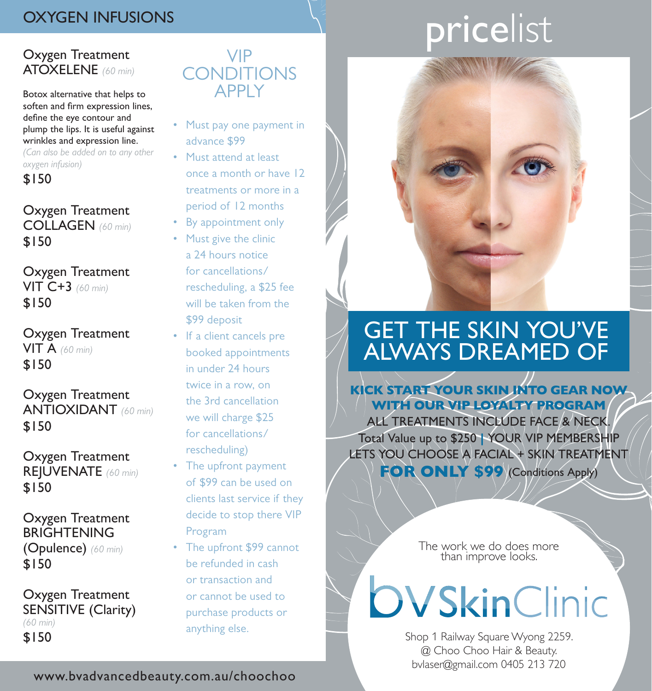# OXYGEN INFUSIONS

## Oxygen Treatment ATOXELENE *(60 min)*

Botox alternative that helps to soften and firm expression lines, define the eye contour and plump the lips. It is useful against wrinkles and expression line.

*(Can also be added on to any other oxygen infusion)*

\$150

### Oxygen Treatment COLLAGEN *(60 min)* \$150

Oxygen Treatment VIT C+3 *(60 min)* \$150

Oxygen Treatment VIT A *(60 min)* \$150

Oxygen Treatment ANTIOXIDANT *(60 min)* \$150

Oxygen Treatment REJUVENATE *(60 min)* \$150

Oxygen Treatment BRIGHTENING (Opulence) *(60 min)* \$150

Oxygen Treatment SENSITIVE (Clarity) *(60 min)* \$150

# VIP **CONDITIONS APPIY**

- Must pay one payment in advance \$99
- Must attend at least once a month or have 12 treatments or more in a period of 12 months
- By appointment only
- Must give the clinic a 24 hours notice for cancellations/ rescheduling, a \$25 fee will be taken from the \$99 deposit
- If a client cancels pre booked appointments in under 24 hours twice in a row, on the 3rd cancellation we will charge \$25 for cancellations/ rescheduling)
- The upfront payment of \$99 can be used on clients last service if they decide to stop there VIP Program
- The upfront \$99 cannot be refunded in cash or transaction and or cannot be used to purchase products or anything else.

# pricelist



# GET THE SKIN YOU'VE ALWAYS DREAMED OF

KICK START YOUR SKIN INTO GEAR NOW WITH OUR VIP LOYALTY PROGRAM ALL TREATMENTS INCLUDE FACE & NECK.

Total Value up to \$250 | YOUR VIP MEMBERSHIP LETS YOU CHOOSE A FACIAL + SKIN TREATMENT FOR ONLY \$99 (Conditions Apply)

> The work we do does more than improve looks.

**OVSkinClinic** 

Shop 1 Railway Square Wyong 2259. @ Choo Choo Hair & Beauty. bvlaser@gmail.com 0405 213 720

www.bvadvancedbeauty.com.au/choochoo